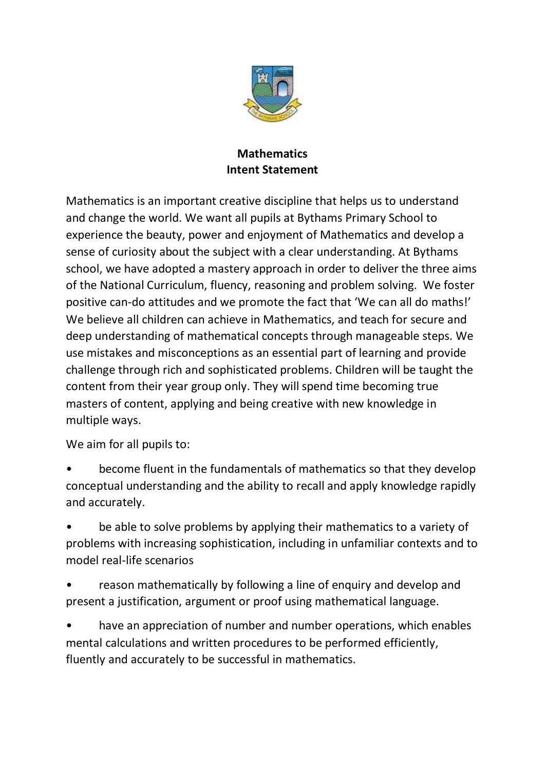

## **Mathematics Intent Statement**

Mathematics is an important creative discipline that helps us to understand and change the world. We want all pupils at Bythams Primary School to experience the beauty, power and enjoyment of Mathematics and develop a sense of curiosity about the subject with a clear understanding. At Bythams school, we have adopted a mastery approach in order to deliver the three aims of the National Curriculum, fluency, reasoning and problem solving. We foster positive can-do attitudes and we promote the fact that 'We can all do maths!' We believe all children can achieve in Mathematics, and teach for secure and deep understanding of mathematical concepts through manageable steps. We use mistakes and misconceptions as an essential part of learning and provide challenge through rich and sophisticated problems. Children will be taught the content from their year group only. They will spend time becoming true masters of content, applying and being creative with new knowledge in multiple ways.

We aim for all pupils to:

- become fluent in the fundamentals of mathematics so that they develop conceptual understanding and the ability to recall and apply knowledge rapidly and accurately.
- be able to solve problems by applying their mathematics to a variety of problems with increasing sophistication, including in unfamiliar contexts and to model real-life scenarios
- reason mathematically by following a line of enquiry and develop and present a justification, argument or proof using mathematical language.

• have an appreciation of number and number operations, which enables mental calculations and written procedures to be performed efficiently, fluently and accurately to be successful in mathematics.